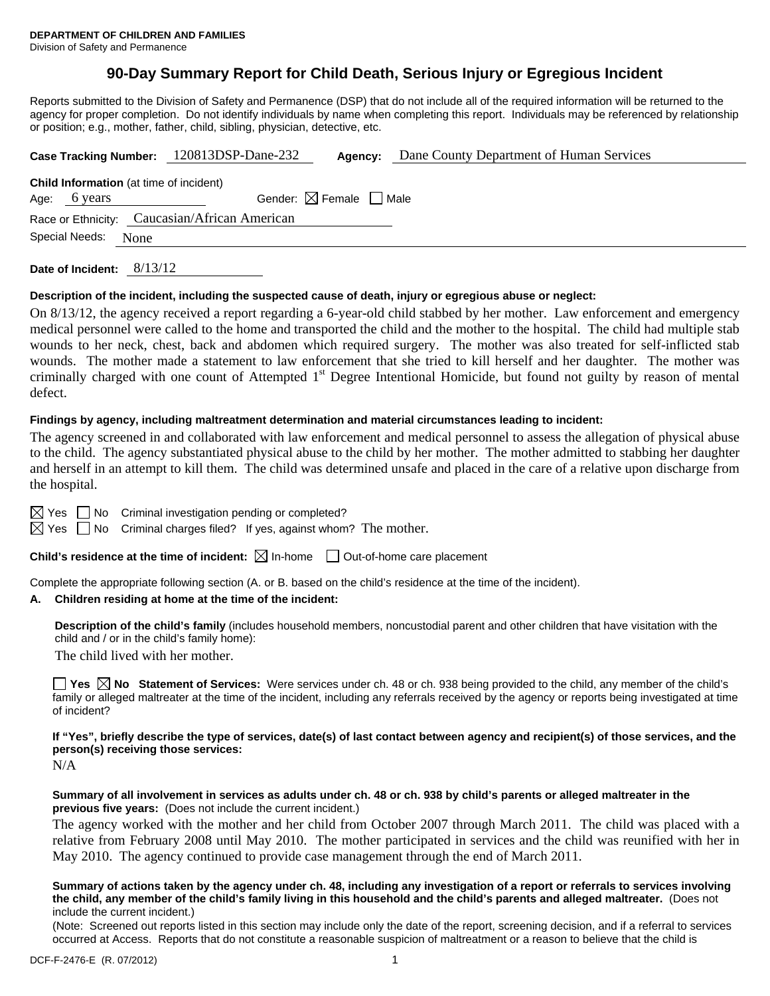# **90-Day Summary Report for Child Death, Serious Injury or Egregious Incident**

Reports submitted to the Division of Safety and Permanence (DSP) that do not include all of the required information will be returned to the agency for proper completion. Do not identify individuals by name when completing this report. Individuals may be referenced by relationship or position; e.g., mother, father, child, sibling, physician, detective, etc.

|                                                                | Case Tracking Number: 120813DSP-Dane-232      | Agency:                                | Dane County Department of Human Services |
|----------------------------------------------------------------|-----------------------------------------------|----------------------------------------|------------------------------------------|
| <b>Child Information</b> (at time of incident)<br>Age: 6 years |                                               | Gender: $\boxtimes$ Female $\Box$ Male |                                          |
|                                                                | Race or Ethnicity: Caucasian/African American |                                        |                                          |
| Special Needs:<br>None                                         |                                               |                                        |                                          |
|                                                                |                                               |                                        |                                          |

**Date of Incident:** 8/13/12

### **Description of the incident, including the suspected cause of death, injury or egregious abuse or neglect:**

On 8/13/12, the agency received a report regarding a 6-year-old child stabbed by her mother. Law enforcement and emergency medical personnel were called to the home and transported the child and the mother to the hospital. The child had multiple stab wounds to her neck, chest, back and abdomen which required surgery. The mother was also treated for self-inflicted stab wounds. The mother made a statement to law enforcement that she tried to kill herself and her daughter. The mother was criminally charged with one count of Attempted 1<sup>st</sup> Degree Intentional Homicide, but found not guilty by reason of mental defect.

#### **Findings by agency, including maltreatment determination and material circumstances leading to incident:**

The agency screened in and collaborated with law enforcement and medical personnel to assess the allegation of physical abuse to the child. The agency substantiated physical abuse to the child by her mother. The mother admitted to stabbing her daughter and herself in an attempt to kill them. The child was determined unsafe and placed in the care of a relative upon discharge from the hospital.

 $\boxtimes$  Yes  $\Box$  No Criminal investigation pending or completed?

 $\boxtimes$  Yes  $\Box$  No Criminal charges filed? If yes, against whom? The mother.

**Child's residence at the time of incident:**  $\boxtimes$  In-home  $\Box$  Out-of-home care placement

Complete the appropriate following section (A. or B. based on the child's residence at the time of the incident).

#### **A. Children residing at home at the time of the incident:**

**Description of the child's family** (includes household members, noncustodial parent and other children that have visitation with the child and / or in the child's family home):

The child lived with her mother.

**Yes**  $\boxtimes$  **No** Statement of Services: Were services under ch. 48 or ch. 938 being provided to the child, any member of the child's family or alleged maltreater at the time of the incident, including any referrals received by the agency or reports being investigated at time of incident?

### **If "Yes", briefly describe the type of services, date(s) of last contact between agency and recipient(s) of those services, and the person(s) receiving those services:**

N/A

### **Summary of all involvement in services as adults under ch. 48 or ch. 938 by child's parents or alleged maltreater in the previous five years:** (Does not include the current incident.)

The agency worked with the mother and her child from October 2007 through March 2011. The child was placed with a relative from February 2008 until May 2010. The mother participated in services and the child was reunified with her in May 2010. The agency continued to provide case management through the end of March 2011.

#### **Summary of actions taken by the agency under ch. 48, including any investigation of a report or referrals to services involving the child, any member of the child's family living in this household and the child's parents and alleged maltreater.** (Does not include the current incident.)

(Note: Screened out reports listed in this section may include only the date of the report, screening decision, and if a referral to services occurred at Access. Reports that do not constitute a reasonable suspicion of maltreatment or a reason to believe that the child is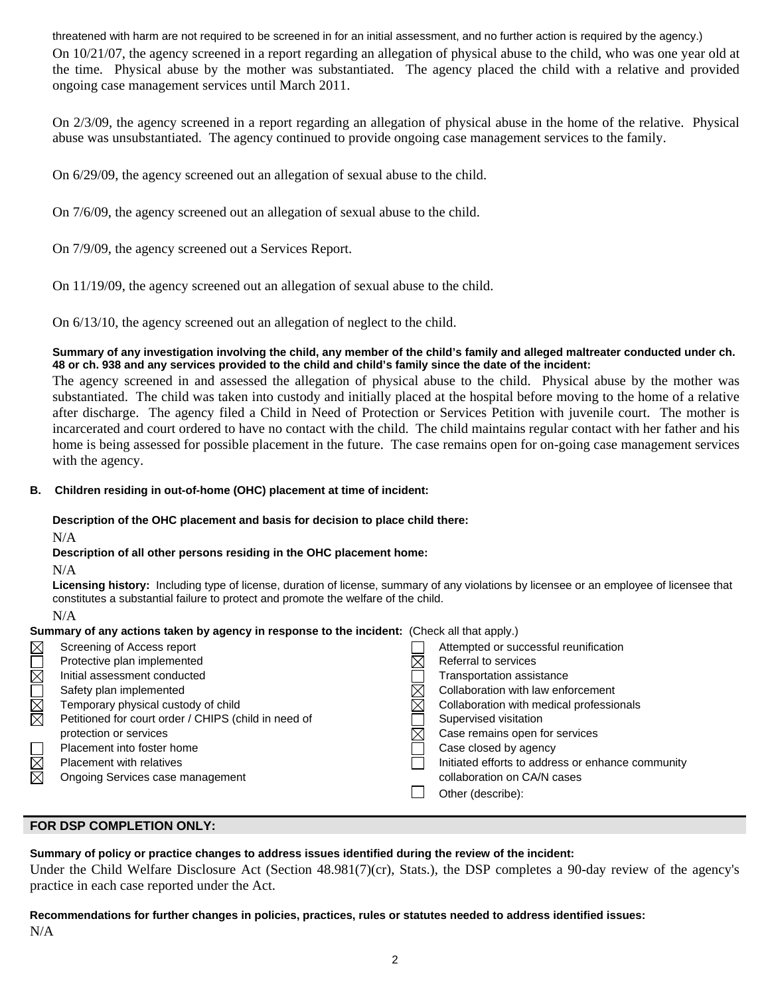threatened with harm are not required to be screened in for an initial assessment, and no further action is required by the agency.) On 10/21/07, the agency screened in a report regarding an allegation of physical abuse to the child, who was one year old at the time. Physical abuse by the mother was substantiated. The agency placed the child with a relative and provided ongoing case management services until March 2011.

On 2/3/09, the agency screened in a report regarding an allegation of physical abuse in the home of the relative. Physical abuse was unsubstantiated. The agency continued to provide ongoing case management services to the family.

On 6/29/09, the agency screened out an allegation of sexual abuse to the child.

On 7/6/09, the agency screened out an allegation of sexual abuse to the child.

On 7/9/09, the agency screened out a Services Report.

On 11/19/09, the agency screened out an allegation of sexual abuse to the child.

On 6/13/10, the agency screened out an allegation of neglect to the child.

### **Summary of any investigation involving the child, any member of the child's family and alleged maltreater conducted under ch. 48 or ch. 938 and any services provided to the child and child's family since the date of the incident:**

The agency screened in and assessed the allegation of physical abuse to the child. Physical abuse by the mother was substantiated. The child was taken into custody and initially placed at the hospital before moving to the home of a relative after discharge. The agency filed a Child in Need of Protection or Services Petition with juvenile court. The mother is incarcerated and court ordered to have no contact with the child. The child maintains regular contact with her father and his home is being assessed for possible placement in the future. The case remains open for on-going case management services with the agency.

## **B. Children residing in out-of-home (OHC) placement at time of incident:**

## **Description of the OHC placement and basis for decision to place child there:**

N/A

## **Description of all other persons residing in the OHC placement home:**

 $N/A$ 

**Licensing history:** Including type of license, duration of license, summary of any violations by licensee or an employee of licensee that constitutes a substantial failure to protect and promote the welfare of the child.

## N/A

| Summary of any actions taken by agency in response to the incident: (Check all that apply.) |                                                      |  |                                                   |  |  |
|---------------------------------------------------------------------------------------------|------------------------------------------------------|--|---------------------------------------------------|--|--|
| $\boxtimes$                                                                                 | Screening of Access report                           |  | Attempted or successful reunification             |  |  |
| $\overline{\boxtimes}$                                                                      | Protective plan implemented                          |  | Referral to services                              |  |  |
|                                                                                             | Initial assessment conducted                         |  | Transportation assistance                         |  |  |
| N<br>M<br>M                                                                                 | Safety plan implemented                              |  | Collaboration with law enforcement                |  |  |
|                                                                                             | Temporary physical custody of child                  |  | Collaboration with medical professionals          |  |  |
|                                                                                             | Petitioned for court order / CHIPS (child in need of |  | Supervised visitation                             |  |  |
|                                                                                             | protection or services                               |  | Case remains open for services                    |  |  |
|                                                                                             | Placement into foster home                           |  | Case closed by agency                             |  |  |
| N<br>M<br>M                                                                                 | Placement with relatives                             |  | Initiated efforts to address or enhance community |  |  |
|                                                                                             | Ongoing Services case management                     |  | collaboration on CA/N cases                       |  |  |
|                                                                                             |                                                      |  | Other (describe):                                 |  |  |

# **FOR DSP COMPLETION ONLY:**

**Summary of policy or practice changes to address issues identified during the review of the incident:** 

Under the Child Welfare Disclosure Act (Section 48.981(7)(cr), Stats.), the DSP completes a 90-day review of the agency's practice in each case reported under the Act.

**Recommendations for further changes in policies, practices, rules or statutes needed to address identified issues:** N/A